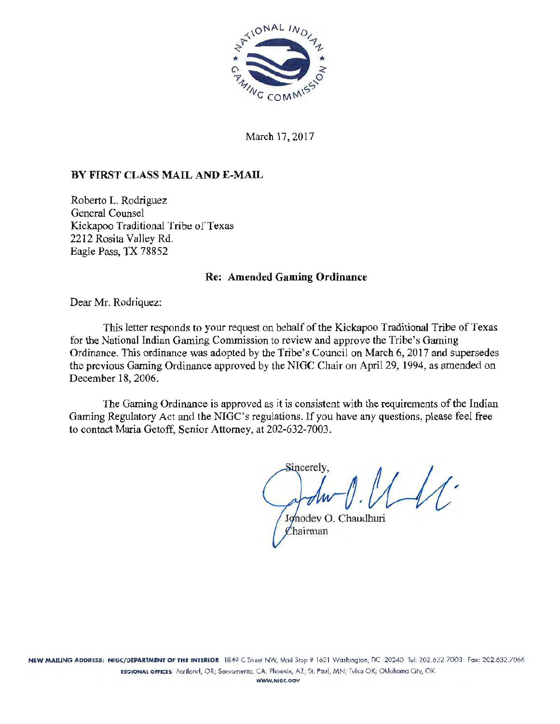

March 17, 2017

### BY FIRST CLASS MAIL AND E-MAIL

Roberto L. Rodriguez General Counsel Kickapoo Traditional Tribe of Texas 2212 Rosita Valley Rd. Eagle Pass, TX 78852

#### Re: Amended Gaming Ordinance

Dear Mr. Rodriquez:

This letter responds to your request on behalf of the Kickapoo Traditional Tribe of Texas for the National Indian Gaming Commission to review and approve the Tribe's Gaming Ordinance. This ordinance was adopted by the Tribe's Council on March 6, 2017 and supersedes the previous Gaming Ordinance approved by the NIGC Chair on April 29, 1994, as amended on December 18, 2006.

The Gaming Ordinance is approved as it is consistent with the requirements of the Indian Gaming Regulatory Act and the NIGC's regulations. If you have any questions, please feel free to contact Maria Getoff, Senior Attorney, at 202-632-7003.

Sincerely.

Jonodev O. Chaudhuri Chairman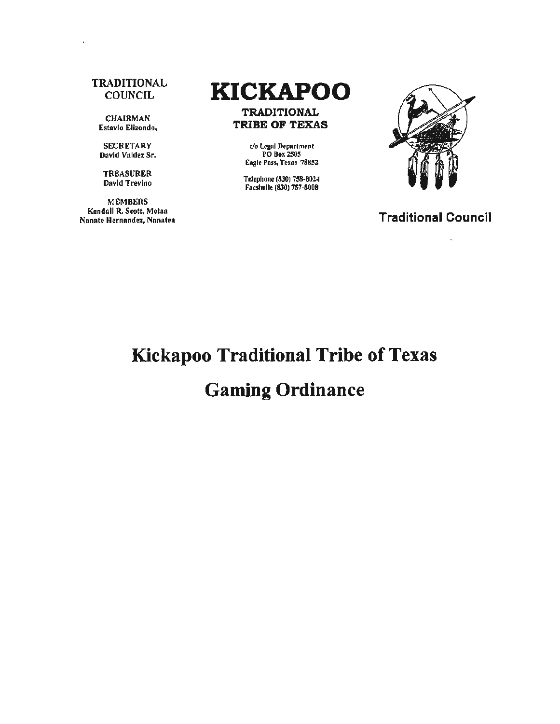#### **TRADITIONAL COUNCIL**

CHAIRMAN Estavio Elizondo,

**SECRETARY** David Valdez Sr.

TREASURER David Trevino

MEMBERS Kendnll R. Scott, Mctna Nanate Hernandez, Nanatea

# **KICKAPOO**

TRADITIONAL TRIBE OF TEXAS

> ~o lq:al Dcpar1111cnt PO Box250S Eagle Pass, Texas 78852

Telephone (830) 758-8024 Facsimile (830) 757-8008



Traditional Council

# Kickapoo Traditional Tribe of Texas

## Gaming Ordinance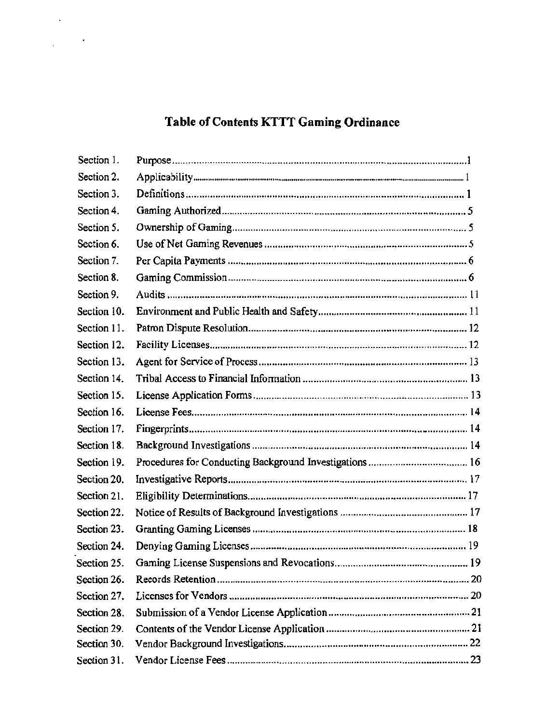## Table of Contents KTTT Gaming Ordinance

 $\bar{z}$ 

 $\frac{1}{2}$  ,  $\frac{1}{2}$ 

| Section 1.  |  |
|-------------|--|
| Section 2.  |  |
| Section 3.  |  |
| Section 4.  |  |
| Section 5.  |  |
| Section 6.  |  |
| Section 7.  |  |
| Section 8.  |  |
| Section 9.  |  |
| Section 10. |  |
| Section 11. |  |
| Section 12. |  |
| Section 13. |  |
| Section 14. |  |
| Section 15. |  |
| Section 16. |  |
| Section 17. |  |
| Section 18. |  |
| Section 19. |  |
| Section 20. |  |
| Section 21. |  |
| Section 22. |  |
| Section 23. |  |
| Section 24. |  |
| Section 25. |  |
| Section 26. |  |
| Section 27. |  |
| Section 28. |  |
| Section 29. |  |
| Section 30. |  |
| Section 31. |  |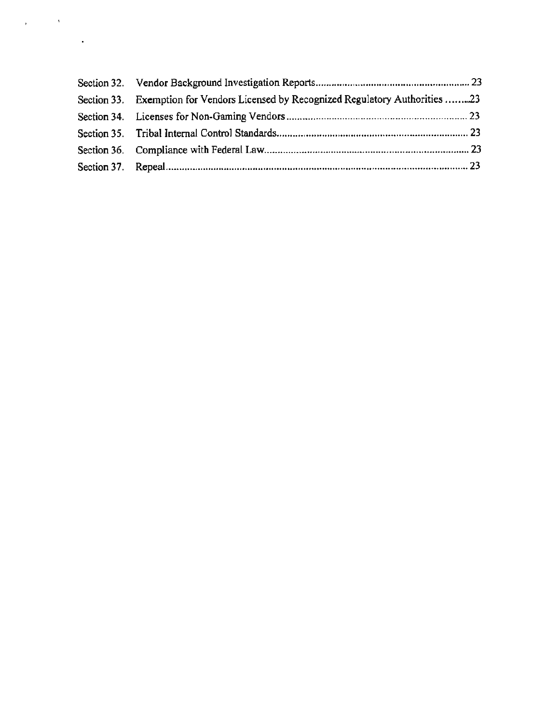| Section 33. Exemption for Vendors Licensed by Recognized Regulatory Authorities 23 |  |
|------------------------------------------------------------------------------------|--|
|                                                                                    |  |
|                                                                                    |  |
|                                                                                    |  |
|                                                                                    |  |

 $\mathbf{r} = \left( \begin{array}{cc} 0 & \mathbf{V} \\ \mathbf{V} & \mathbf{V} \end{array} \right)$  ,

 $\mathcal{L}^{\text{max}}_{\text{max}}$  ,  $\mathcal{L}^{\text{max}}_{\text{max}}$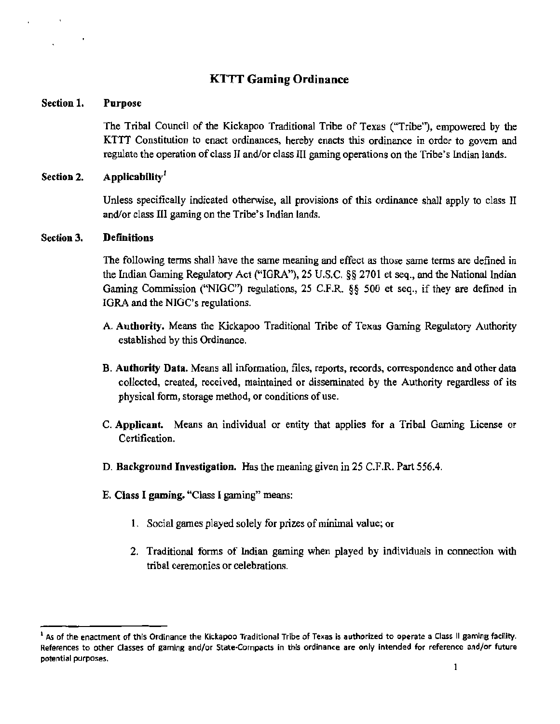### KTTT Gaming Ordinance

#### Section 1. Purpose

The Tribal Council of the Kickapoo Traditional Tribe of Texas ("Tribe''), empowered by the KTTT Constitution to enact ordinances, hereby enacts this ordinance in order to govern and regulate the operation of class II and/or class III gaming operations on the Tribe's Indian lands.

#### Section 2. Applicability<sup>1</sup>

Unless specifically indicated otherwise, all provisions of this ordinance shall apply to class II and/or class III gaming on the Tribe's Indian lands.

#### Section 3. **Definitions**

The following terms shall have the same meaning and effect as those same terms are defined in the Indian Gaming Regulatory Act ("IGRA"), 25 U.S.C. §§ 2701 et seq., and the National Indian Gaming Commission ("NIGC'') regulations, 25 C.F.R. §§ 500 et seq., if they are defined in IGRA and the NIGC's regulations.

- A. Authority. Means the Kickapoo Traditional Tribe of Texas Gaming Regulatory Authority established by this Ordinance.
- B. Authority Data. Means all information, files, reports, records, correspondence and other data collected, created, received, maintained or disseminated by the Authority regardless of its physical form, storage method, or conditions of use.
- C. Applicant. Means an individual or entity that applies for a Tribal Gaming License or Certification.
- D. Background Investigation. Has the meaning given in 25 C.F.R. Part 556.4.
- E. Class I gaming. "Class I gaming" means:
	- I. Social games played solely for prizes of minimal value; or
	- 2. Traditional forms of Indian gaming when played by individuals in connection with tribal ceremonies or celebrations.

 $<sup>1</sup>$  As of the enactment of this Ordinance the Kickapoo Traditional Tribe of Texas is authorized to operate a Class II gaming facility.</sup> References to other Classes of gaming and/or State-Compacts in this ordinance are only intended for reference and/or future potential purposes.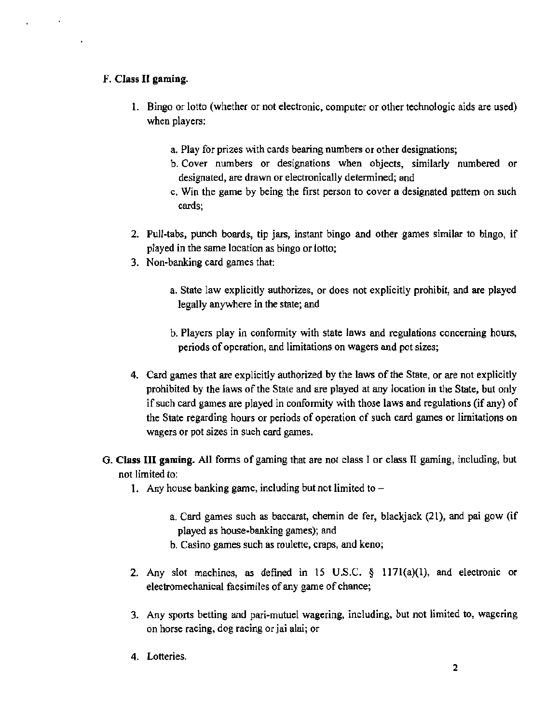#### F. Class II gaming.

- 1. Bingo or lotto (whether or not electronic, computer or other technologic aids are used) when players:
	- a. Play for prizes with cards bearing numbers or other designations;
	- b. Cover numbers or designations when objects. similarly numbered or designated, are drawn or electronically determined; and
	- c. Win the game by being the first person to cover a designated pattern on such cards;
- 2. Pull-tabs, punch boards, tip jars, instant bingo and other games similar to bingo, if played in the same location as bingo or lotto;
- 3. Non-banking card games that:
	- a. State law explicitly authorizes, or does not explicitly prohibit, and are played legally anywhere in the state; and
	- b. Players play in conformity with state laws and regulations concerning hours, periods of operation, and limitations on wagers and pot sizes;
- 4. Card games that are explicitly authorized by the laws of the State, or are not explicitly prohibited by the laws of the State and are played at any location in the State, but only if such card games are played in conformity with those laws and regulations (if any) of the State regarding hours or periods of operation of such card games or limitations on wagers or pot sizes in such card games.
- G. Class III gaming. All forms of gaming that are not class I or class II gaming, including, but not limited to:
	- 1. Any house banking game, including but not limited to  $$ 
		- a. Card games such as baccarat, chemin de fer, blackjack (21), and pai gow (if played as house-banking games); and
		- b. Casino games such as roulette, craps, and keno;
	- 2. Any slot machines, as defined in 15 U.S.C. § 117l(a)(l), and electronic or electromechanical facsimiles of any game of chance;
	- 3. Any sports betting and pari-mutuel wagering, including, but not limited to, wagering on horse racing, dog racing or jai alai; or
	- 4. Lotteries.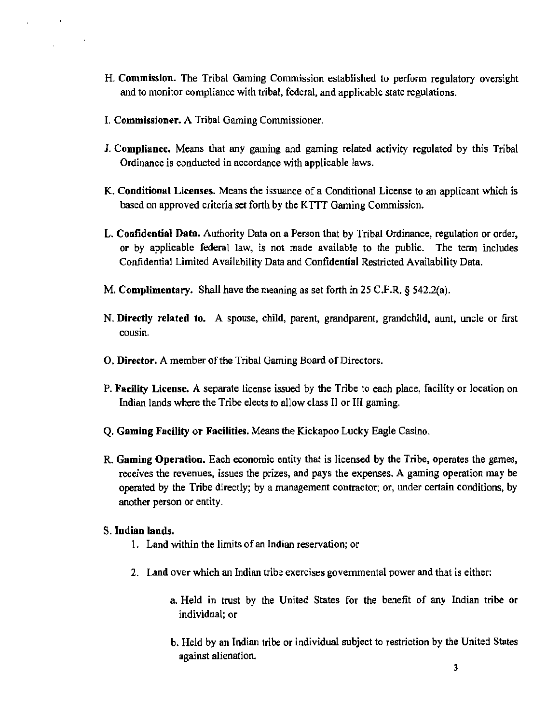- H. Commission. The Tribal Gaming Commission established to perform regulatory oversight and to monitor compliance with tribal, federal, and applicable state regulations.
- I. Commissioner. A Tribal Gaming Commissioner.
- J. Compliance. Means that any gaming and gaming related activity regulated by this Tribal Ordinance is conducted in accordance with applicable laws.
- K. Conditional Licenses. Means the issuance of a Conditional License to an applicant which is based on approved criteria set forth by the KTIT Gaming Commission.
- L. Confidential Data. Authority Data on a Person that by Tribal Ordinance, regulation or order, or by applicable federal law, is not made available to the public. The term includes Confidential Limited Availability Data and Confidential Restricted Availability Data.
- M. Complimentary. Shall have the meaning as set forth in 25 C.F.R. § 542.2(a).
- N. Directly related to. A spouse, child, parent, grandparent, grandchild, aunt, uncle or first cousin.
- 0. Director. A member of the Tribal Gaming Board of Directors.
- P. Facility License. A separate license issued by the Tribe to each place, facility or location on Indian lands where the Tribe elects to allow class II or III gaming.
- Q. Gaming Facility or Facilities. Means the Kickapoo Lucky Eagle Casino.
- R. Gaming Operation. Each economic entity that is licensed by the Tribe, operates the games, receives the revenues, issues the prizes, and pays the expenses. A gaming operation may be operated by the Tribe directly; by a management contractor; or, under certain conditions, by another person or entity.

#### S. Indian lands.

- 1. Land within the limits of an Indian reservation; or
- 2. Land over which an Indian tribe exercises governmental power and that is either:
	- a. Held in trust by the United States for the benefit of any Indian tribe or individual; or
	- b. Held by an Indian tribe or individual subject to restriction by the United States against alienation.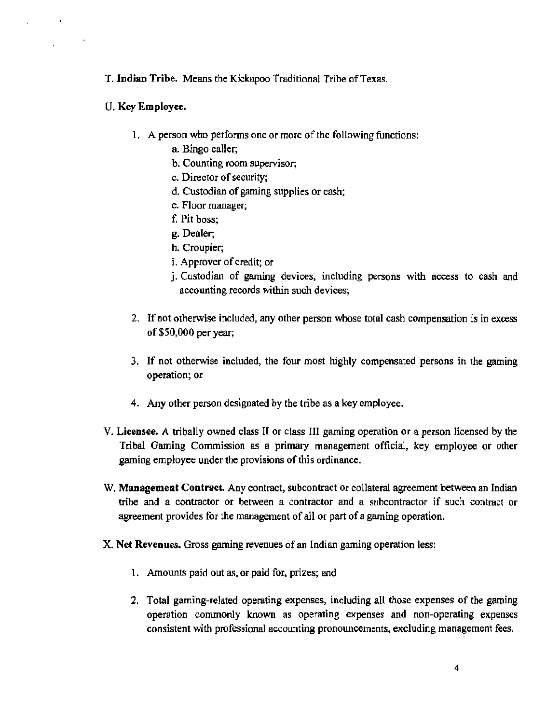T. Indian Tribe. Means the Kickapoo Traditional Tribe of Texas.

- U. Key Employee.
	- 1. A person who performs one or more of the following functions:
		- a. Bingo caller;
		- b. Counting room supervisor;
		- c. Director of security;
		- d. Custodian of gaming supplies or cash;
		- e. Floor manager;
		- f. Pit boss;
		- g. Dealer;
		- h. Croupier;
		- i. Approver of credit; or
		- j. Custodian of gaming devices, including persons with access to cash and accounting records within such devices;
	- 2. If not otherwise included, any other person whose total cash compensation is in excess of\$50,000 per year;
	- 3. If not otherwise included, the four most highly compensated persons in the gaming operation; or
	- 4. Any other person designated by the tribe as a key employee.
- V. Licensee. A tribally owned class II or class III gaming operation or a person licensed by the Tribal Gaming Commission as a primary management official, key employee or other gaming employee under the provisions of this ordinance.
- W. **Management Contract.** Any contract, subcontract or collateral agreement between an Indian tribe and a contractor or between a contractor and a subcontractor if such contract or agreement provides for the management of all or part of a gaming operation.
- X. Net Revenues. Gross gaming revenues of an Indian gaming operation less:
	- I. Amounts paid out *as,* or paid for, prizes; and
	- 2. Total gaming-related operating expenses, including all those expenses of the gaming operation commonly known as operating expenses and non-operating expenses consistent with professional accounting pronouncements, excluding management fees.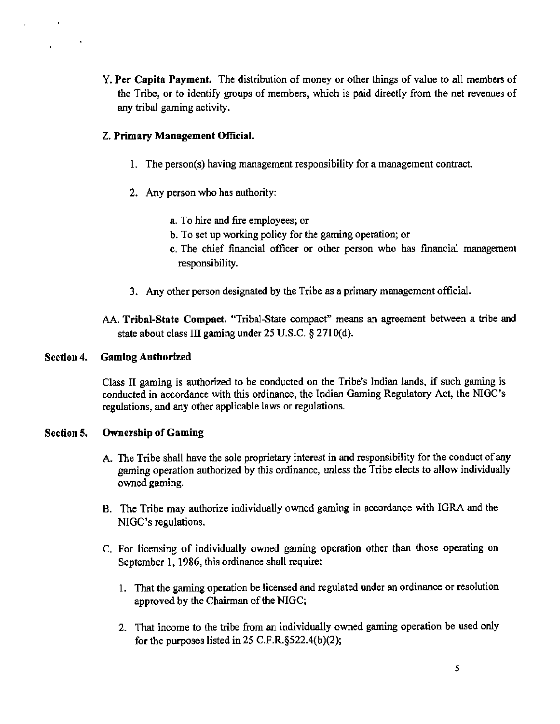Y. Per Capita Payment. The distribution of money or other things of value to all members of the Tribe, or to identify groups of members, which is paid directly from the net revenues of any tribal gaming activity.

#### Z. Primary Management Official.

- 1. The person(s) having management responsibility for a management contract.
- 2. Any person who has authority:
	- a. To hire and fire employees; or
	- b. To set up working policy for the gaming operation; or
	- c. The chief financial officer or other person who has financial management responsibility.
- 3. Any other person designated by the Tribe as a primary management official.

AA. Tribal-State Compact. "Tribal-State compact" means an agreement between a tribe and state about class III gaming under 25 U.S.C. § 2710(d).

#### Section 4. Gaming Authorized

Class II gaming is authorized to be conducted on the Tribe's Indian lands, if such gaming is conducted in accordance with this ordinance. the Indian Gaming Regulatory Act, the NIGC's regulations, and any other applicable laws or regulations.

#### Section 5. Ownership of Gaming

- A. The Tribe shall have the sole proprietary interest in and responsibility for the conduct of any gaming operation authorized by this ordinance, unless the Tribe elects to allow individually owned gaming.
- B. The Tribe may authorize individually owned gaming in accordance with IGRA and the NIGC's regulations.
- C. For licensing of individually owned gaming operation other than those operating on September 1, 1986, this ordinance shall require:
	- 1. That the gaming operation be licensed and regulated under an ordinance or resolution approved by the Chairman of the NIGC;
	- 2. That income to the tribe from an individually owned gaming operation be used only for the purposes listed in 25 C.F.R.§522.4(b)(2);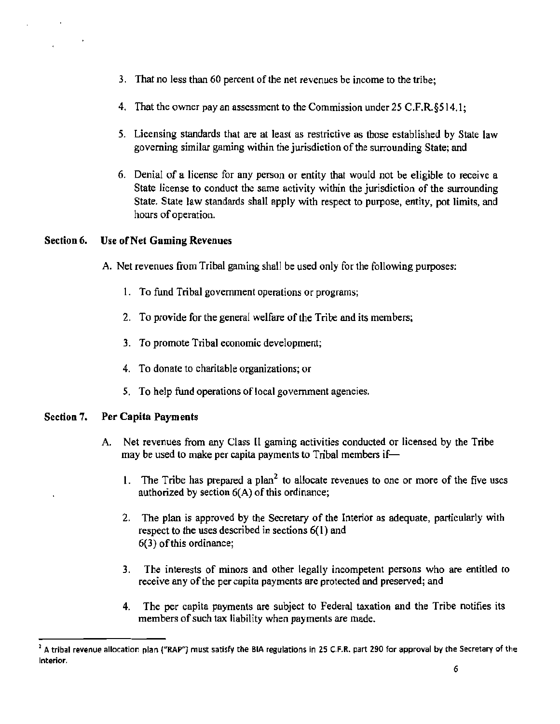- 3. That no less than 60 percent of the net revenues be income to the tribe;
- 4. That the owner pay an assessment to the Commission under 25 C.F.R.§514.1;
- 5. Licensing standards that are at least as restrictive as those established by State law governing similar gaming within the jurisdiction of the surrounding State; and
- 6. Denial of a license for any person or entity that would not be eligible to receive a State license to conduct the same activity within the jurisdiction of the surrounding State. State law standards shall apply with respect to purpose, entity, pot limits, and hours of operation.

#### Section 6. Use of Net Gaming Revenues

- A. Net revenues from Tribal gaming shall be used only for the following purposes:
	- 1. To fund Tribal government operations or programs;
	- 2. To provide for the general welfare of the Tribe and its members;
	- 3. To promote Tribal economic development;
	- 4. To donate to charitable organizations; or
	- 5. To help fund operations of local government agencies.

#### Section 7. Per Capita Payments

- A. Net revenues from any Class ll gaming activities conducted or licensed by the Tribe may be used to make per capita payments to Tribal members if-
	- 1. The Tribe has prepared a plan<sup>2</sup> to allocate revenues to one or more of the five uses authorized by section 6(A) of this ordinance;
	- 2. The plan is approved by the Secretary of the Interior as adequate, particularly with respect to the uses described in sections 6(1) and 6(3) of this ordinance;
	- 3. The interests of minors and other legally incompetent persons who are entitled to receive any of the per capita payments are protected and preserved; and
	- 4. The per capita payments are subject to Federal taxation and the Tribe notifies its members of such tax liability when payments are made.

<sup>&</sup>lt;sup>2</sup> A tribal revenue allocation plan ("RAP") must satisfy the BIA regulations in 25 C.F.R. part 290 for approval by the Secretary of the Interior.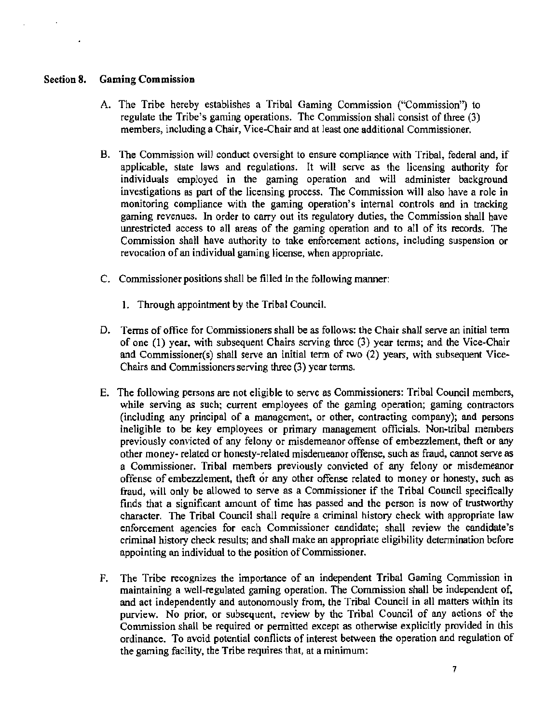#### Section 8. Gaming Commission

- A. The Tribe hereby establishes a Tribal Gaming Commission ("Commission') to regulate the Tribe's gaming operations. The Commission shall consist of three (3) members, including a Chair, Vice-Chair and at least one additional Commissioner.
- B. The Commission will conduct oversight to ensure compliance with Tribal, federal and, if applicable, state laws and regulations. It will serve as the licensing authority for individuals employed in the gaming operation and will administer background investigations as part of the licensing process. The Commission will also have a role in monitoring compliance with the gaming operation's internal controls and in tracking gaming revenues. In order to carry out its regulatory duties, the Commission shall have unrestricted access to all areas of the gaming operation and to all of its records. The Commission shall have authority to take enforcement actions, including suspension or revocation of an individual gaming license, when appropriate.
- C. Commissioner positions shall be filled in the following manner:
	- 1. Through appointment by the Tribal Council.
- D. Terms of office for Commissioners shall be as follows: the Chair shall serve an initial term of one (1) year, with subsequent Chairs serving three (3) year terms; and the Vice-Chair and Commissioner(s) shall serve an initial term of two (2) years, with subsequent Vice-Chairs and Commissioners serving three (3) year terms.
- E. The following persons are not eligible to serve as Commissioners: Tribal Council members, while serving as such; current employees of the gaming operation; gaming contractors (including any principal of a management, or other, contracting company); and persons ineligible to be key employees or primary management officials. Non~tribal members previously convicted of any felony or misdemeanor offense of embezzlement, theft or any other money- related or honesty-related misdemeanor offense, such as fraud, cannot serve as a Commissioner. Tribal members previously convicted of any felony or misdemeanor offense of embezzlement, theft or any other offense related to money or honesty, such as fraud, will only be allowed to serve as a Commissioner if the Tribal Council specifically finds that a significant amount of time has passed and the person is now of trustworthy character. The Tribal Council shall require a criminal history check with appropriate law enforcement agencies for each Commissioner candidate; shall review the candidate's criminal history check results; and shall make an appropriate eligibility determination before appointing an individual to the position of Commissioner.
- F. The Tribe recognizes the importance of an independent Tribal Gaming Commission in maintaining a well-regulated gaming operation. The Commission shall be independent of, and act independently and autonomously from, the Tribal Council in all matters within its purview. No prior, or subsequent, review by the Tribal Council of any actions of the Commission shall be required or permitted except as otherwise explicitly provided in this ordinance. To avoid potential conflicts of interest between the operation and regulation of the gaming facility, the Tribe requires that, at a minimum: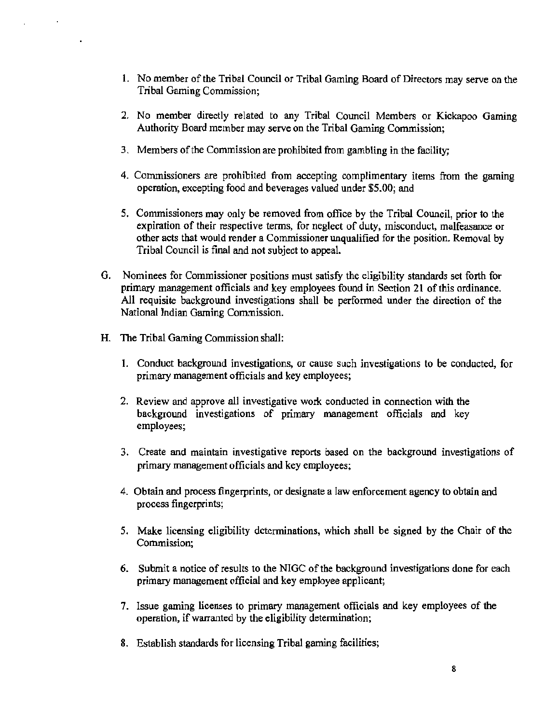- I. No member of the Tribal Council or Tribal Gaming Board of Directors may serve on the Tribal Gaming Commission;
- 2. No member directly related to any Tribal Council Members or Kickapoo Gaming Authority Board member may serve on the Tribal Gaming Commission;
- 3. Members of the Commission are prohibited from gambling in the facility;
- 4. Commissioners are prohibited from accepting complimentary items from the gaming operation, excepting food and beverages valued under \$5.00; and
- *5.* Commissioners may only be removed from office by the Tribal Council, prior to the expiration of their respective terms, for neglect of duty, misconduct, malfeasance or other acts that would render a Commissioner unqualified for the position. Removal by Tribal Council is final and not subject to appeal.
- G. Nominees for Commissioner positions must satisfy the eligibility standards set forth for primary management officials and key employees found in Section 21 of this ordinance. All requisite background investigations shall be performed under the direction of the National Indian Gaming Commission.
- H. The Tribal Gaming Commission shall:
	- 1. Conduct background investigations, or cause such investigations to be conducted, for primary management officials and key employees;
	- 2. Review and approve all investigative work conducted in connection with the background investigations of primary management officials and key employees;
	- 3. Create and maintain investigative reports based on the background investigations of primary management officials and key employees;
	- 4. Obtain and process fingerprints, or designate a Jaw enforcement agency to obtain and process fingerprints;
	- 5. Make licensing eligibility determinations, which shall be signed by the Chair of the Commission;
	- 6. Submit a notice of results to the NIGC of the background investigations done for each primary management official and key employee applicant;
	- 7. Issue gaming licenses to primary management officials and key employees of the operation, if warranted by the eligibility detennination;
	- 8. Establish standards for licensing Tribal gaming facilities;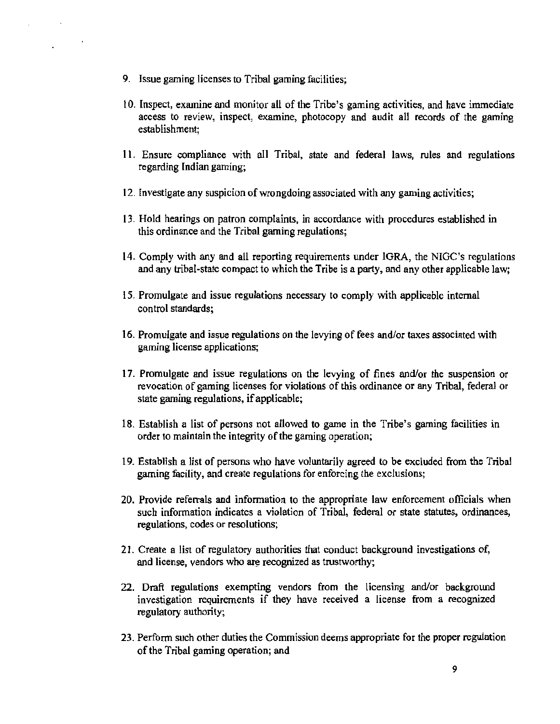- 9. Issue gaming licenses to Tribal gaming facilities;
- l 0. Inspect, examine and monitor all of the Tribe's gaming activities, and have immediate access to review, inspect, examine, photocopy and audit all records of the gaming establishment;
- 11. Ensure compliance with all Tribal, state and federal laws, rules and regulations regarding Indian gaming;
- 12. Investigate any suspicion of wrongdoing associated with any gaming activities;
- 13. Hold hearings on patron complaints, in accordance with procedures established in this ordinance and the Tribal gaming regulations;
- 14. Comply with any and all reporting requirements under IGRA, the NIGC's regulations and any tribal-state compact to which the Tribe is a party, and any other applicable law;
- 15. Promulgate and issue regulations necessary to comply with applicable internal control standards;
- 16. Promulgate and issue regulations on the levying of fees and/or taxes associated with gaming license applications;
- 17. Promulgate and issue regulations on the levying of fines and/or the suspension or revocation of gaming licenses for violations of this ordinance or any Tribal, federal or state gaming regulations, if applicable;
- 18. Establish a list of persons not allowed to game in the Tribe's gaming facilities in order to maintain the integrity of the gaming operation;
- 19. Establish a list of persons who have voluntarily agreed to be excluded from the Tribal gaming facility, and create regulations for enforcing the exclusions;
- 20. Provide referrals and information to the appropriate law enforcement officials when such information indicates a violation of Tribal, federal or state statutes, ordinances, regulations, codes or resolutions;
- 21 . Create a list of regulatory authorities that conduct background investigations of, and license, vendors who are recognized as trustworthy;
- 22. Draft regulations exempting vendors from the licensing and/or background investigation requirements if they have received a license from a recognized regulatory authority;
- 23. Perform such other duties the Commission deems appropriate for the proper regulation of the Tribal gaming operation; and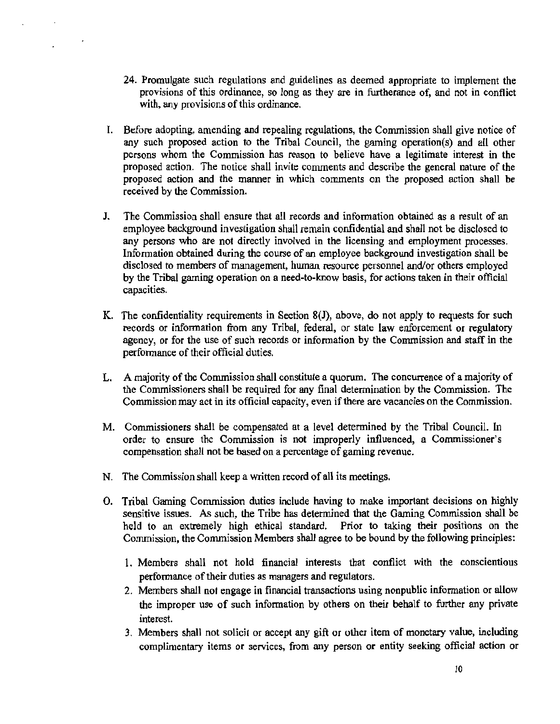- 24. Promulgate such regulations and guidelines as deemed appropriate to implement the provisions of this ordinance, so long as they are in furtherance of, and not in conflict with, any provisions of this ordinance.
- I. Before adopting, amending and repealing regulations, the Commission shall give notice of any such proposed action to the Tribal Council, the gaming operation(s) and all other persons whom the Commission has reason to believe have a legitimate interest in the proposed action. The notice shall invite comments and describe the general nature of the proposed action and the manner in which comments on the proposed action shall be received by the Commission.
- J. The Commission shall ensure that all records and infonnation obtained as a result of an employee background investigation shall remain confidential and shall not be disclosed to any persons who are not directly involved in the licensing and employment processes. Information obtained during the course of an employee background investigation shall be disclosed to members of management, human resource personnel and/or others employed by the Tribal gaming operation on a need-to-know basis, for actions taken in their official capacities.
- K. The confidentiality requirements in Section 8(J), above, do not apply to requests for such records or information from any Tribal, federal, or state law enforcement or regulatory agency, or for the use of such records or information by the Commission and staff in the perfonnance of their official duties.
- L. A majority of the Commission shall constitute a quorum. The concurrence of a majority of the Commissioners shall be required for any final determination by the Commission. The Commission may act in its official capacity, even if there are vacancies on the Commission.
- M. Commissioners shall be compensated at a level determined by the Tribal Council. In order to ensure the Conunission is not improperly influenced, a Commissioner's compensation shall not be based on a percentage of gaming revenue.
- N. The Commission shall keep a written record of all its meetings.
- O. Tribal Gaming Commission duties include having to make important decisions on highly sensitive issues. As such, the Tribe has determined that the Gaming Commission shall be held to an extremely high ethical standard. Prior to taking their positions on the Commission, the Commission Members shall agree to be bound by the following principles:
	- 1. Members shall not hold financial interests that conflict with the conscientious performance of their duties as managers and regulators.
	- 2. Members shall not engage in financial transactions using nonpublic information or allow the improper use of such information by others on their behalf to further any private interest.
	- 3. Members shall not solicit or accept any gift or other item of monetary value, including complimentary items or services, from any person or entity seeking official action or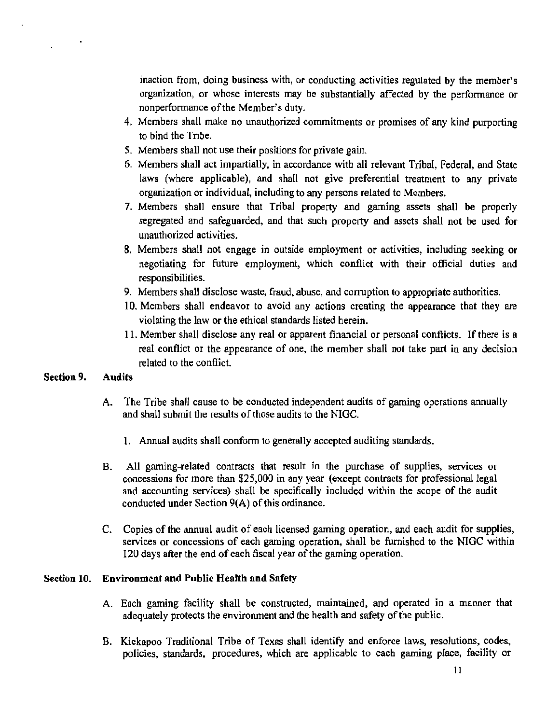inaction from, doing business with, or conducting activities regulated by the member's organization, or whose interests may be substantially affected by the perfonnance or nonperfonnance of the Member's duty.

- 4. Members shall make no unauthorized commitments or promises of any kind purporting to bind the Tribe.
- 5. Members shall not use their positions for private gain.
- 6. Members shall act impartially, in accordance with all relevant Tribal, Federal, and State laws (where applicable), and shall not give preferential treatment to any private organization or individual, including to any persons related to Members.
- 7. Members shall ensure that Tribal property and gaming assets shall be properly segregated and safeguarded, and that such property and assets shall not be used for unauthorized activities.
- 8. Members shall not engage in outside employment or activities, including seeking or negotiating for future employment, which conflict with their official duties and responsibilities.
- 9. Members shall disclose waste, fraud, abuse, and corruption to appropriate authorities.
- 10. Members shall endeavor to avoid any actions creating the appearance that they are violating the law or the ethical standards listed herein.
- 11. Member shall disclose any real or apparent financial or personal conflicts. If there is a real conflict or the appearance of one, the member shall not take part in any decision related to the conflict.

#### Section 9. Audits

- A. The Tribe shall cause to be conducted independent audits of gaming operations annually and shall submit the results of those audits to the NIGC.
	- 1. Annual audits shall conform to generally accepted auditing standards.
- B. All gaming-related contracts that result in the purchase of supplies, services or concessions for more than \$25,000 in any year (except contracts for professional legal and accounting services) shall be specifically included within the scope of the audit conducted under Section 9(A) of this ordinance.
- C. Copies of the annual audit of each licensed gaming operation, and each audit for supplies, services or concessions of each gaming operation, shall be furnished to the NIGC within 120 days after the end of each fiscal year of the gaming operation.

#### Section 10. Environment and Public Health and Safety

- A. Each gaming facility shall be constructed, maintained. and operated in a manner that adequately protects the environment and the health and safety of the public.
- B. Kickapoo Traditional Tribe of Texas shall identify and enforce laws. resolutions, codes, policies, standards, procedures, which are applicable to each gaming place, facility or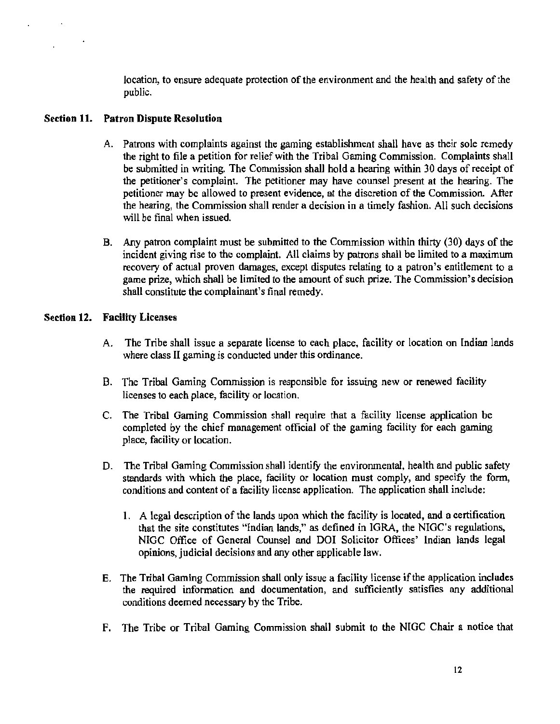location, to ensure adequate protection of the environment and the health and safety of the public.

#### Section 11. Patron Dispute Resolution

- A. Patrons with complaints against the gaming establishment shall have as their sole remedy the right to file a petition for relief with the Tribal Gaming Commission. Complaints shall be submitted in writing. The Commission shall hold a hearing within 30 days of receipt of the petitioner's complaint. The petitioner may have counsel present at the hearing. The petitioner may be allowed to present evidence, at the discretion of the Commission. After the hearing, the Commission shall render a decision in a timely fashion. All such decisions will be final when issued.
- B. Any patron complaint must be submitted to the Commission within thirty (30) days of the incident giving rise to the complaint. All claims by patrons shall be limited to a maximum recovery of actual proven damages, except disputes relating to a patron's entitlement to a game prize, which shall be limited to the amount of such prize. The Commission's decision shall constitute the complainant's final remedy.

#### Section 12. Facility Licenses

- A. The Tribe shall issue a separate license to each place, facility or location on Indian lands where class II gaming is conducted under this ordinance.
- B. The Tribal Gaming Commission is responsible for issuing new or renewed facility licenses to each place, facility or location.
- C. The Tribal Gaming Commission sba11 require that a facility license application be completed by the chief management official of the gaming facility for each gaming place, facility or location.
- D. The Tribal Gaming Commission shall identify the environmental, health and public safety standards with which the place, facility or location must comply, and specify the form, conditions and content of a facility license application. The application shall include:
	- 1. A legal description of the lands upon which the facility is located, and a certification that the site constitutes "Indian lands," as defined in IGRA, the NIOC's regulations, NIGC Office of General Counsel and DOI Solicitor Offices' Indian lands legal opinions, judicial decisions and any other applicable law.
- E. The Tribal Gaming Commission shall only issue a facility license if the application includes the required infonnation and documentation, and sufficiently satisfies any additional conditions deemed necessary by the Tribe.
- F. The Tribe or Tribal Gaming Commission shall submit to the NIGC Chair a notice that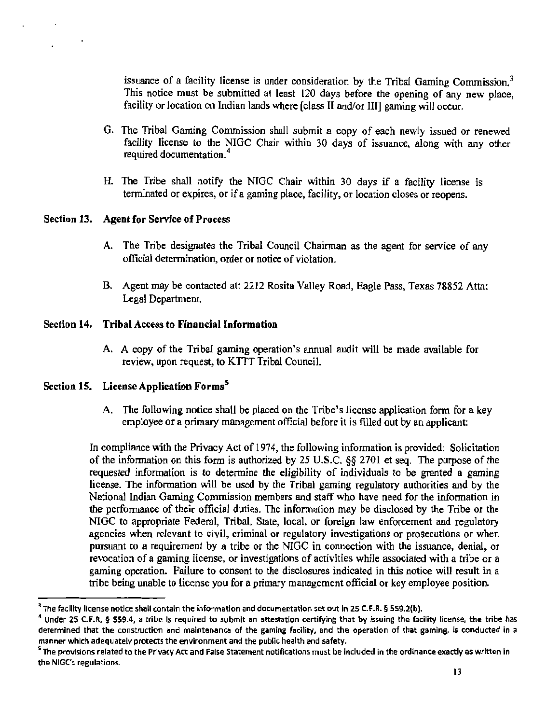issuance of a facility license is under consideration by the Tribal Gaming Commission.<sup>3</sup> This notice must be submitted at least 120 days before the opening of any new place, facility or location on Indian lands where [class II and/or III] gaming will occur.

- G. The Tribal Gaming Commission shall submit a copy of each newly issued or renewed facility license to the NIGC Chair within 30 days of issuance, along with any other required documentation. <sup>4</sup>
- H. The Tribe shall notify the NIGC Chair within 30 days if a facility license is terminated or expires, or if a gaming place, facility, or location closes or reopens.

#### Section 13. Agent for Service of Process

- A. The Tribe designates the Tribal Council Chairman *as* the agent for service of any official determination, order or notice of violation.
- B. Agent may be contacted at: 2212 Rosita Valley Road, Eagle Pass, Texas 78852 Attn: Legal Department.

#### Section 14. Tribal Access to Financial Information

A. A copy of the Tribal gaming operation's annual audit will be made available for review, upon request, to KTIT Tribal Council.

#### Section 15. License Application Forms<sup>5</sup>

A. The following notice shall be placed on the Tribe's license application form for a key employee or a primary management official before it is filled out by an applicant:

In compliance with the Privacy Act of 1974, the following information is provided: Solicitation of the information on this form is authorized by 25 U.S.C. §§ 2701 et seq. The purpose of the requested information is to detennine the eligibility of individuals to be granted a gaming license. The information will be used by the Tribal gaming regulatory authorities and by the National Indian Gaming Commission members and staff who have need for the information in the performance of their official duties. The information may be disclosed by the Tribe or the NIGC to appropriate Federal, Tribal, State, local, or foreign law enforcement and regulatory agencies when relevant to civil, criminal or regulatory investigations or prosecutions or when pursuant to a requirement by a tribe or the NIGC in connection with the issuance, denial, or revocation of a gaming license, or investigations of activities while associated with a tribe or a gaming operation. Failure to consent to the disclosures indicated in this notice will result in a tribe being unable to license you for a primary management official or key employee position.

 $^3$  The facility license notice shall contain the information and documentation set out in 25 C.F.R. § 559.2(b).<br><sup>4</sup> Under 25 C.F.R. § 559.4, a tribe is required to submit an attestation certifying that by issuing the fa determined that the construction and maintenance of the gaming facility, and the operation of that gaming, is conducted in a manner which adequately protects the environment and the public health and safety.

<sup>&</sup>lt;sup>s</sup> The provisions related to the Privacy Act and False Statement notifications must be included in the ordinance exactly as written in the NIGC's regulations.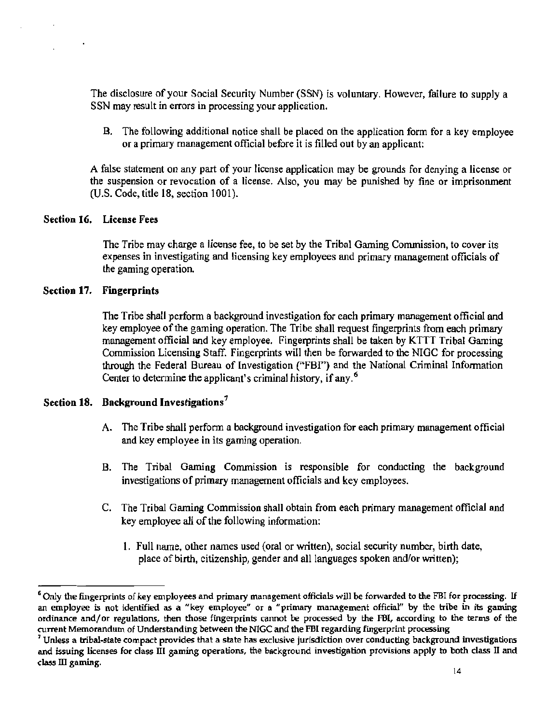The disclosure of your Social Security Nwnber (SSN) is voluntary. However, failure to supply a SSN may result in errors in processing your application.

B. The following additional notice shall be placed on the application form for a key employee or a primary management official before it is filled out by an applicant:

A false statement on any part of your license application may be grounds for denying a license or the suspension or revocation of a license. Also, you may be punished by fine or imprisonment (U.S. Code, title 18, section 1001).

#### Section 16. License Fees

The Tribe may charge a license fee, to be set by the Tribal Gaming Commission, to cover its expenses in investigating and licensing key employees and primary management officials of the gaming operation.

#### Section 17. Fingerprints

The Tribe shall perform a background investigation for each primary management official and key employee of the gaming operation. The Tribe shall request fingerprints from each primary management official and key employee. Fingerprints shall be taken by KTTT Tribal Gaming Commission Licensing Staff. Fingerprints will then be forwarded to the NIGC for processing through the Federal Bureau of Investigation ("FBI") and the National Criminal Information Center to determine the applicant's criminal history, if any. 6

#### Section 18. Background Investigations<sup>7</sup>

- A. The Tribe shall perform a background investigation for each primary management official and key employee in its gaming operation.
- B. The Tribal Gaming Commission is responsible for conducting the background investigations of primary management officials and key employees.
- C. The Tribal Gaming Commission shall obtain from each primary management official and key employee all of the following information:
	- I. Full name, other names used (oral or written), social security number, birth date, place of birth, citizenship, gender and all languages spoken and/or written);

<sup>&#</sup>x27;Only the fingerprints of key employees and primary management officials will be forwarded to the FBI for processing. If an employee is not identified as a "key employee" or a "primary management official" by the tribe in its gaming ordinance and/or regulations, then those fingerprints cannot be processed by the FBI, according to the terms of the<br>current Memorandum of Understanding between the NIGC and the FBI regarding fingerprint processing

<sup>&</sup>lt;sup>7</sup> Unless a tribal-state compact provides that a state has exclusive jurisdiction over conducting background investigations and issuing licenses for class Ill gaming operations, the background investigation provisions apply to both class II and  $class III$  gaming.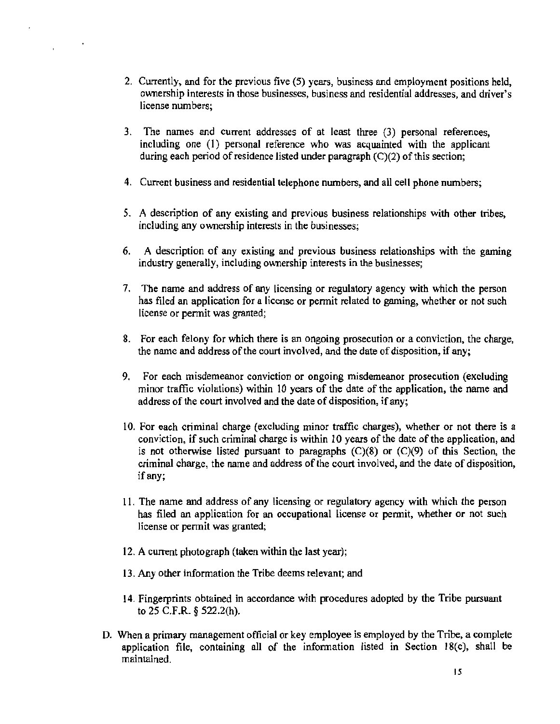- 2. Currently, and for the previous five (5) years, business and employment positions held, ownership interests in those businesses, business and residential addresses, and driver's license numbers;
- 3. The names and current addresses of at least three (3) personal references, including one (I) personal reference who was acquainted with the applicant during each period of residence listed under paragraph (C)(2) of this section;
- 4. Current business and residential telephone numbers, and all cell phone numbers;
- *5.* A description of any existing and previous business relationships with other tribes, including any ownership interests in the businesses;
- 6. A description of any existing and previous business relationships with the gaming industry generally, including ownership interests in the businesses;
- 7. The name and address of any licensing or regulatory agency with which the person has filed an application for a license or permit related to gaming, whether or not such license or permit was granted;
- 8. For each felony for which there is an ongoing prosecution or a conviction, the charge, the name and address of the court involved, and the date of disposition, if any;
- 9. For each misdemeanor conviction or ongoing misdemeanor prosecution (excluding minor traffic violations) within 10 years of the date of the application, the name and address of the court involved and the date of disposition, if any;
- 10. For each criminal charge (excluding minor traffic charges), whether or not there is a conviction, if such criminal charge is within 10 years of the date of the application, and is not otherwise listed pursuant to paragraphs (C)(8) or (C)(9) of this Section, the criminal charge, the name and address of the court involved, and the date of disposition, if any;
- 11. The name and address of any licensing or regulatory agency with which the person has filed an application for an occupational license or pennit, whether or not such license or permit was granted;
- 12. A current photograph (taken within the last year);
- 13. Any other information the Tribe deems relevant; and
- 14. Fingerprints obtained in accordance with procedures adopted by the Tribe pursuant to 25 C.F.R. § 522.2(h).
- D. When a primary management official or key employee is employed by the Tribe, a complete application file, containing all of the information listed in Section 18(c), shall be maintained.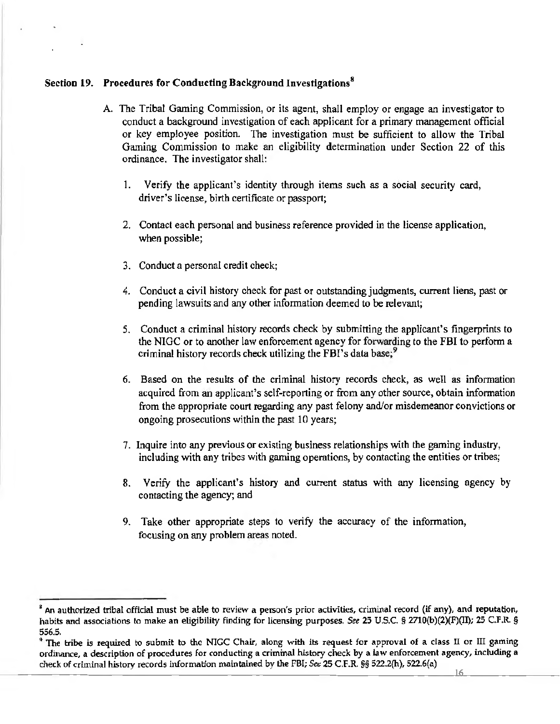#### Section 19. Procedures for Conducting Background Investigations<sup>8</sup>

- A. The Tribal Gaming Commission, or its agent, shall employ or engage an investigator to conduct a background investigation of each applicant for a primary management official or key employee position. The investigation must be sufficient to allow the Tribal Gaming Commission to make an eligibility determination under Section 22 of this ordinance. The investigator shall:
	- 1. Verify the applicant's identity through items such as a social security card, driver's license, birth certificate or passport;
	- 2. Contact each personal and business reference provided in the license application, when possible;
	- 3. Conduct a personal credit check;
	- 4. Conduct a civil history check for past or outstanding judgments, current liens, past or pending lawsuits and any other information deemed to be relevant;
	- 5. Conduct a criminal history records check by submitting the applicant's fingerprints to the NIGC or to another law enforcement agency for forwarding to the FBI to perform a criminal history records check utilizing the FBI's data base;<sup>9</sup>
	- 6. Based on the results of the criminal history records check, as well as information acquired from an applicant's self-reporting or from any other source, obtain information from the appropriate court regarding any past felony and/or misdemeanor convictions or ongoing prosecutions within the past 10 years;
	- 7. Inquire into any previous or existing business relationships with the gaming industry, including with any tribes with gaming operations, by contacting the entities or tribes;
	- 8. Verify the applicant's history and current status with any licensing agency by contacting the agency; and
	- 9. Take other appropriate steps to verify the accuracy of the information, focusing on any problem areas noted.

<sup>&</sup>lt;sup>8</sup> An authorized tribal official must be able to review a person's prior activities, criminal record (if any), and reputation, habits and associations to make an eligibility finding for licensing purposes. See 25 U.S.C. § 2710(b)(2)(F)(II); 25 C.F.R. § 556.5.

<sup>&</sup>lt;sup>9</sup> The tribe is required to submit to the NIGC Chair, along with its request for approval of a class II or III gaming ordinance, a description of procedures for conducting a criminal history check by a law enforcement agency, including a check of criminal history records information maintained by the FBI; *See* 25 C.F.R. §§ 522.2(h), 522.6(a)  $-16$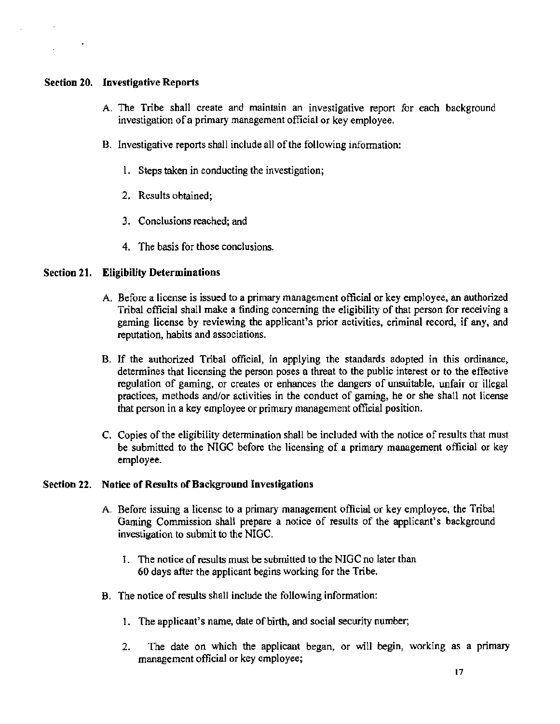#### Section 20. Investigative Reports

- A. The Tribe shall create and maintain an investigative report for each background investigation of a primary management official or key employee.
- B. Investigative reports shall include all of the following information:
	- 1. Steps taken in conducting the investigation;
	- 2. Results obtained;
	- 3. Conclusions reached; and
	- 4. The basis for those conclusions.

#### Section 21. Eligibility Determinations

- A. Before a license is issued to a primary management official or key employee, an authorized Tribal official shall make a finding concerning the eligibility of that person for receiving a gaming license by reviewing the applicant's prior activities, criminal record, if any, and reputation, habits and associations.
- B. If the authorized Tribal official, in applying the standards adopted in this ordinance, determines that licensing the person poses a threat to the public interest or to the effective regulation of gaming, or creates or enhances the dangers of unsuitable, unfair or illegal practices, methods and/or activities in the conduct of gaming, he or she shall not license that person in a key employee or primary management official position.
- C. Copies of the eligibility determination shall be included with the notice of results that must be submitted to the NIGC before the licensing of a primary management official or key employee.

#### Section 22. Notice of Results of Background Investigations

- A Before issuing a license to a primary management official or key employee, the Tribal Gaming Commission shall prepare a notice of results of the applicant's background investigation to submit to the NIGC.
	- 1. The notice of results must be submitted to the NIGC no later than 60 days after the applicant begins working for the Tribe.
- B. The notice of results shall include the following information:
	- 1. The applicant's name, date of birth, and social security number;
	- 2. The date on which the applicant began, or will begin, working as a primary management official or key employee;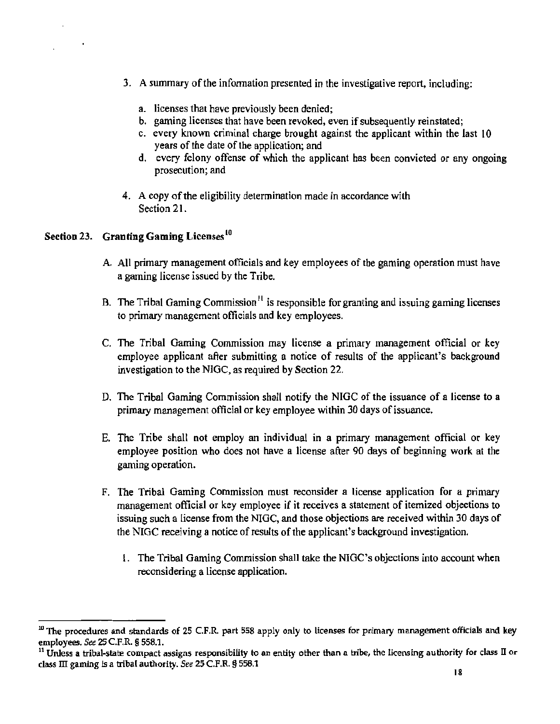- 3. A summary of the infonnation presented in the investigative report, including:
	- a. licenses that have previously been denied;
	- b. gaming licenses that have been revoked, even if subsequently reinstated;
	- c. every known criminal charge brought against the applicant within the last 10 years of the date of the application; and
	- d. every felony offense of which the applicant has been convicted or any ongoing prosecution; and
- 4. A copy of the eligibility determination made in accordance with Section 21.

### Section 23. Granting Gaming Licenses<sup>10</sup>

- A. All primary management officials and key employees of the gaming operation must have a gaming license issued by the Tribe.
- B. The Tribal Gaming Commission<sup>11</sup> is responsible for granting and issuing gaming licenses to primary management officials and key employees.
- C. The Tribal Gaming Commission may license a primary management official or key employee applicant after submitting a notice of results of the applicant's background investigation to the NIGC, as required by Section 22.
- D. The Tribal Gaming Commission shall notify the NIGC of the issuance of a license to a primary management official or key employee within 30 days of issuance.
- E. The Tribe shall not employ an individual in a primary management official or key employee position who does not have a license after 90 days of beginning work at the gaming operation.
- F. The Tribal Gaming Commission must reconsider a license application for a primary management official or key employee if it receives a statement of itemized objections to issuing such a license from the NIGC, and those objections are received within 30 days of the NIGC receiving a notice of results of the applicant's background investigation.
	- l. The Tribal Gaming Commission shall take the NIGC's objections into account when reconsidering a license application.

 $10$  The procedures and standards of 25 C.F.R. part 558 apply only to licenses for primary management officials and key employees. See 25 C.F.R. § 558.1.<br><sup>11</sup> Unless a tribal-state compact assigns responsibility to an entity other than a tribe, the licensing authority for class II or

class ID gaming *is* a tribal authority. *See* 25 C.F.R. § 558.1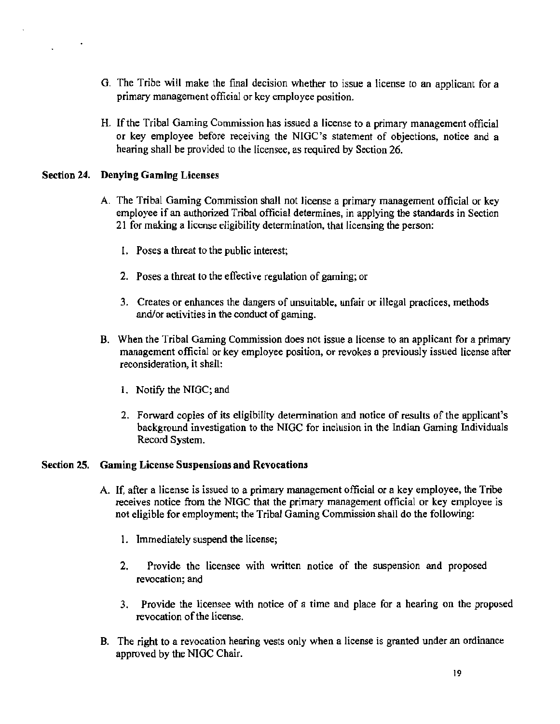- G. The Tribe will make the final decision whether to issue a license to an applicant for a primary management official or key employee position.
- H. If the Tribal Gaming Commission has issued a license to a primary management official or key employee before receiving the NIGC's statement of objections, notice and a hearing shall be provided to the licensee, as required by Section 26.

#### Section 24. Denying Gaming Licenses

- A. The Tribal Gaming Commission shall not license a primary management official or key employee if an authorized Tribal official determines, in applying the standards in Section 21 for making a license eligibility determination, that licensing the person:
	- 1. Poses a threat to the public interest;
	- 2. Poses a threat to the effective regulation of gaming; or
	- 3. Creates or enhances the dangers of unsuitable, unfair or illegal practices, methods and/or activities in the conduct of gaming.
- B. When the Tribal Gaming Commission does not issue a license to an applicant for a primary management official or key employee position, or revokes a previously issued license after reconsideration, it shall:
	- l. Notify the NIGC; and
	- 2. Forward copies of its eligibility determination and notice of results of the applicant's background investigation to the NIGC for inclusion in the Indian Gaming Individuals Record System.

#### Section 25. Gaming License Suspensions and Revocations

- A. If, after a license is issued to a primary management official or a key employee, the Tribe receives notice from the NIGC that the primary management official or key employee is not eligible for employment; the Tribal Gaming Commission shall do the following:
	- 1. Immediately suspend the license;
	- 2. Provide the licensee with written notice of the suspension and proposed revocation; and
	- 3. Provide the licensee with notice of a time and place for a hearing on the proposed revocation of the license.
- B. The right to a revocation hearing vests only when a license is granted under an ordinance approved by the NIGC Chair.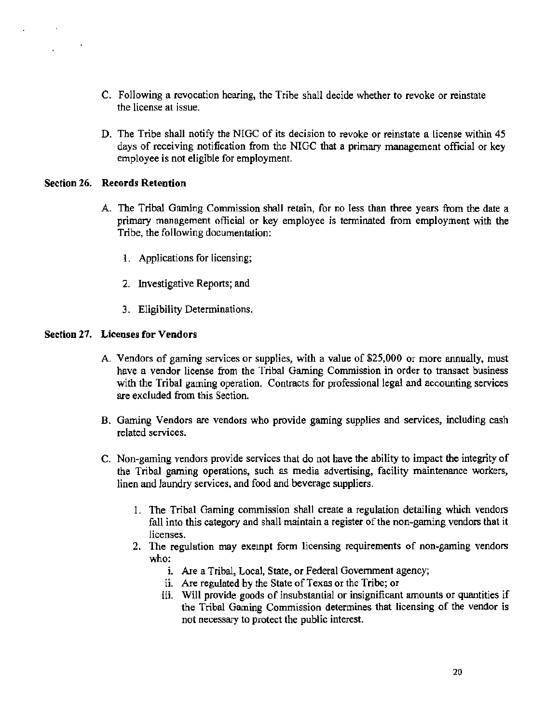- C. Following a revocation hearing, the Tribe shall decide whether to revoke or reinstate the license at issue.
- D. The Tribe shall notify the NIGC of its decision to revoke or reinstate a license within 45 days of receiving notification from the NIGC that a primary management official or key employee is not eligible for employment.

#### Section 26. Records Retention

- A. The Tribal Gaming Commission shall retain, for no less than three years from the date a primary management official or key employee is tenninated from employment with the Tribe, the following documentation:
	- 1. Applications for licensing;
	- 2. Investigative Reports; and
	- 3. Eligibility Determinations.

#### Section 27. Licenses for Vendors

- A. Vendors of gaming services or supplies, with a value of \$25,000 or more annually, must have a vendor license from the Tribal Gaming Commission in order to transact business with the Tribal gaming operation. Contracts for professional legal and accounting services are excluded from this Section.
- B. Gaming Vendors are vendors who provide gaming supplies and services, including cash related services.
- C. Non-gaming vendors provide services that do not have the ability to impact the integrity of the Tribal gaming operations, such as media advertising, facility maintenance workers, linen and laundry services, and food and beverage suppliers.
	- I. The Tribal Gaming commission shall create a regulation detailing which vendors fall into this category and shall maintain a register of the non-gaming vendors that it licenses.
	- 2. The regulation may exempt form licensing requirements of non-gaming vendors who:
		- 1. Are a Tribal, Local, State, or Federal Government agency;
		- ii. Are regulated by the State of Texas or the Tribe; or
		- iii. Will provide goods of insubstantial or insignificant amounts or quantities if the Tribal Gaming Commission determines that licensing of the vendor is not necessary to protect the public interest.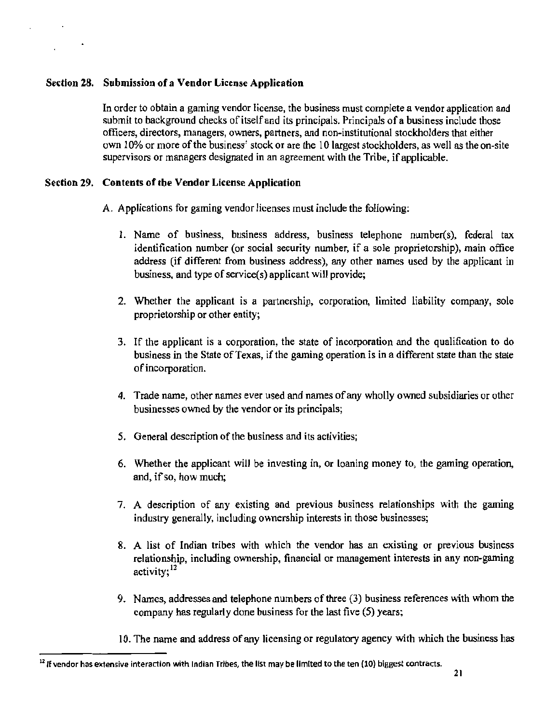#### Section 28. Submission of a Vendor License Application

In order to obtain a gaming vendor license, the business must complete a vendor application and submit to background checks of itself and its principals. Principals of a business include those officers, directors, managers, owners, partners, and non-institutional stockholders that either own 10% or more of the business' stock or are the 10 largest stockholders, as well as the on-site supervisors or managers designated in an agreement with the Tribe, if applicable.

#### Section 29. Contents of the Vendor License Application

A. Applications for gaming vendor licenses must include the following:

- 1. Name of business, business address, business telephone number(s), federal tax identification number (or social security number, if a sole proprietorship), main office address (if different from business address), any other names used by the applicant in business, and type of service(s) applicant will provide;
- 2. Whether the applicant is a partnership, corporation, limited liability company, sole proprietorship or other entity;
- 3. If the applicant is a corporation, the state of incorporation and the qualification to do business in the State of Texas, if the gaming operation is in a different state than the state of incorporation.
- 4. Trade name, other names ever used and names of any wholly owned subsidiaries or other businesses owned by the vendor or its principals;
- *5.* General description of the business and its activities;
- 6. Whether the applicant will be investing in, or loaning money to, the gaming operation, and, if so, how much;
- 7. A description of any existing and previous business relationships with the gaming industry generally, including ownership interests in those businesses;
- 8. A list of Indian tribes with which the vendor has an existing or previous business relationship, including ownership, financial or management interests in any non-gaming activity:  $12$
- 9. Names, addresses and telephone numbers of three (3) business references with whom the company has regularly done business for the last five (5) years;
- I 0. The name and address of any licensing or regulatory agency with which the business has

 $<sup>12</sup>$  If vendor has extensive interaction with Indian Tribes, the list may be limited to the ten (10) biggest contracts.</sup>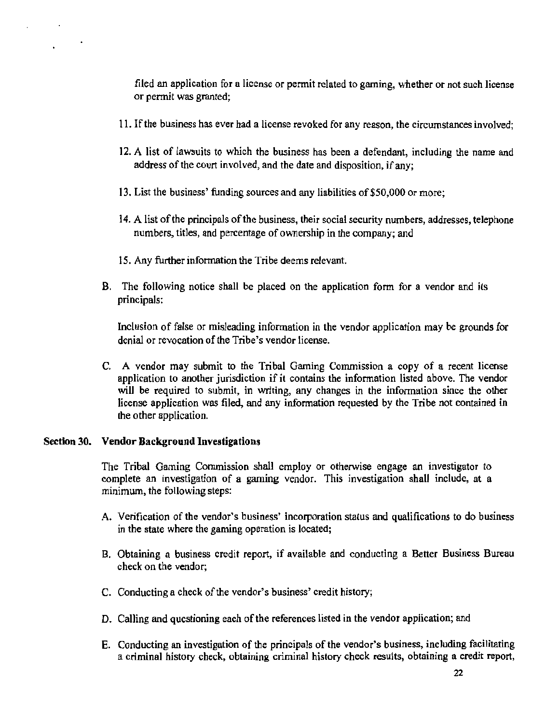filed an application for a license or permit related to gaming, whether or not such license or permit was granted;

- 11. If the business has ever had a license revoked for any reason, the circumstances involved;
- 12. A list of lawsuits to which the business has been a defendant, including the name and address of the court involved, and the date and disposition, if any;
- 13. List the business' funding sources and any liabilities of \$50,000 or more;
- 14. A list of the principals of the business, their social security numbers, addresses, telephone numbers, titles, and percentage of ownership in the company; and
- 15. Any further information the Tribe deems relevant.
- B. The following notice shall be placed on the application form for a vendor and its principals:

Inclusion of false or misleading information in the vendor application may be grounds for denial or revocation of the Tribe's vendor license.

C. A vendor may submit to the Tribal Gaming Commission a copy of a recent license application to another jurisdiction if it contains the information listed above. The vendor will be required to submit, in writing, any changes in the information since the other license application was filed, and any information requested by the Tribe not contained in the other application.

#### Section 30. Vendor Background Investigations

The Tribal Gaming Commission shall employ or otherwise engage an investigator to complete an investigation of a gaming vendor. This investigation shall include, at a minimum, the following steps:

- A. Verification of the vendor's business' incorporation status and qualifications to do business in the state where the gaming operation is located;
- B. Obtaining a business credit report, if available and conducting a Better Business Bureau check on the vendor;
- C. Conducting a check of the vendor's business' credit history;
- D. Calling and questioning each of the references listed in the vendor application; and
- E. Conducting an investigation of the principals of the vendor's business, including facilitating a criminal history check, obtaining criminal history check results, obtaining a credit report,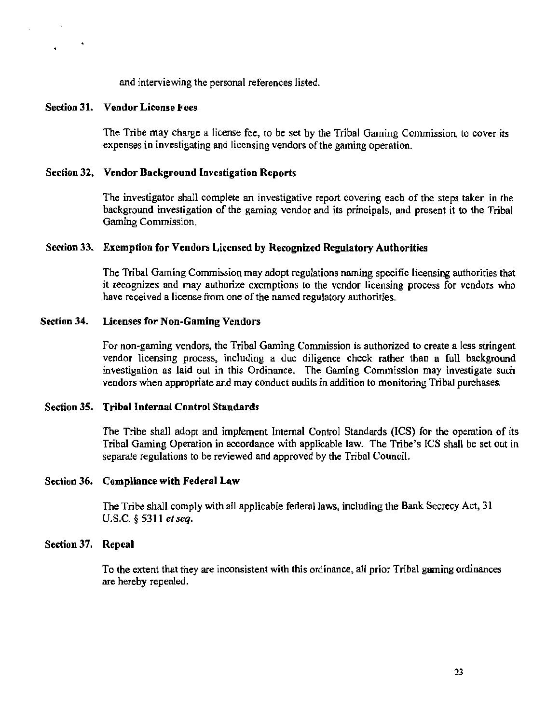and interviewing the personal references listed.

#### Section 31. Vendor License Fees

The Tribe may charge a license fee, to be set by the Tribal Gaming Commission, to cover its expenses in investigating and licensing vendors of the gaming operation.

#### Section 32. Vendor Background Investigation Reports

The investigator shall complete an investigative report covering each of the steps taken in the background investigation of the gaming vendor and its principals, and present it to the Tribal Gaming Commission.

#### Section 33. Exemption for Vendors Licensed by Recognized Regulatory Authorities

The Tribal Gaming Commission may adopt regulations naming specific licensing authorities that it recognizes and may authorize exemptions to the vendor licensing process for vendors who have received a license from one of the named regulatory authorities.

#### Section 34. Licenses for Non-Gaming Vendors

For non-gaming vendors, the Tribal Gaming Commission is authorized to create a less stringent vendor licensing process, including a due diligence check rather than a full background investigation as laid out in this Ordinance. The Gaming Commission may investigate such vendors when appropriate and may conduct audits in addition to monitoring Tribal purchases.

#### Section 35. Tribal Internal Control Standards

The Tribe shall adopt and implement Internal Control Standards (ICS) for the operation of its Tribal Gaming Operation in accordance with applicable law. The Tribe's ICS shall be set out in separate regulations to be reviewed and approved by the Tribal Council.

#### Section 36. Compliance with Federal Law

The Tribe shall comply with all applicable federal laws, including the Bank Secrecy Act. 31 U.S.C. § 5311 *et seq.* 

#### Section 37. Repeal

To the extent that they are inconsistent with this ordinance, all prior Tribal gaming ordinances are hereby repealed.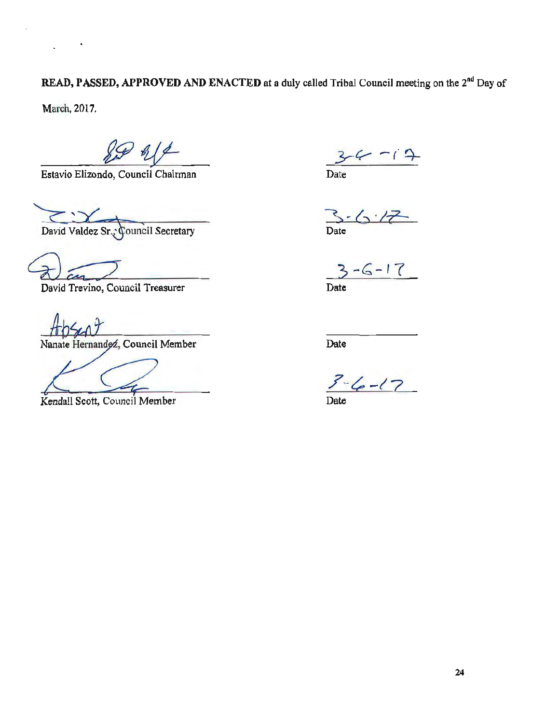READ, PASSED, APPROVED AND ENACTED at a duly called Tribal Council meeting on the 2<sup>nd</sup> Day of

March, 2017.

Estavio Elizondo, Council Chairman Date

David Valdez Sr., Council Secretary

 $\frac{2}{3-6-17}$ 

David Trevino, Council Treasurer Date

Nanate Hernandoz, Council Member

Kendall Scott, Council Member Date

*3-V -(* q\_

Date

Date

 $3-(e-17)$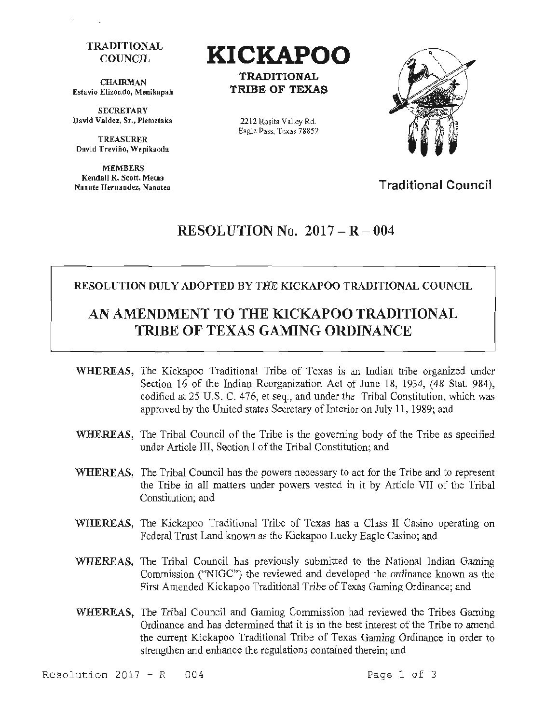#### **TRADITIONAL** COUNCIL

**CHAIRMAN** Estavio Elizondo, Menikapab

**SECRETARY** David Valdez, Sr., Pietoetaka

TREASURER David Treviño, Wepikaoda

MEMBERS Kendall R. Scott, Metaa Nanate Hernandez, Nanatea



TRADITIONAL TRIBE OF TEXAS

2212 Rosita Valley Rd. Eagle Pass, Texas 78852



Traditional Council

### RESOLUTION No.  $2017 - R - 004$

#### RESOLUTION DULY ADOPTED BY THE KICKAPOO TRADITIONAL COUNCIL

## AN AMENDMENT TO THE KICKAPOO TRADITIONAL TRIBE OF TEXAS GAMING ORDINANCE

- WHEREAS, The Kickapoo Traditional Tribe of Texas is an Indian tribe organized under Section 16 of the Indian Reorganization Act of June 18, 1934, (48 Stat. 984), codified at 25 U.S. C. 476, et seq., and under the Tribal Constitution, which was approved by the United states Secretary of Interior on July 11 , 1989; and
- WHEREAS, The Tribal Council of the Tribe is the governing body of the Tribe as specified under Article III, Section I of the Tribal Constitution; and
- WHEREAS, The Tribal Council has the powers necessary to act for the Tribe and to represent the Tribe in all matters under powers vested in it by Article VII of the Tribal Constitution; and
- WHEREAS, The Kickapoo Traditional Tribe of Texas has a Class II Casino operating on Federal Trust Land known as the Kickapoo Lucky Eagle Casino; and
- WHEREAS, The Tribal Council has previously submitted to the National Indian Gaming Commission ("NIGC'') the reviewed and developed the ordinance known as the First Amended Kickapoo Traditional Tribe of Texas Gaming Ordinance; and
- WHEREAS, The Tribal Council and Gaming Commission had reviewed the Tribes Gaming Ordinance and has determined that it is in the best interest of the Tribe to amend the current Kickapoo Traditional Tribe of Texas Gaming Ordinance in order to strengthen and enhance the regulations contained therein; and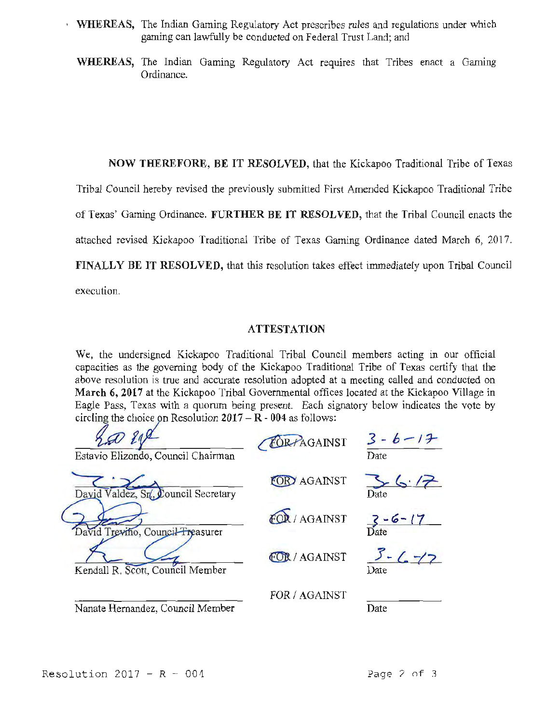- WHEREAS, The Indian Gaming Regulatory Act prescribes rules and regulations under which gaming can lawfully be conducted on Federal Trust Land; and
	- WHEREAS, The Indian Gaming Regulatory Act requires that Tribes enact a Gaming Ordinance.

NOW THEREFORE, BE IT RESOLVED, that the Kickapoo Traditional Tribe of Texas

Tribal Council hereby revised the previously submitted First Amended Kickapoo Traditional Tribe

of Texas' Gaming Ordinance. FURTHER BE IT RESOLVED, that the Tribal Council enacts the

attached revised Kickapoo Traditional Tribe of Texas Gaming Ordinance dated March 6, 2017.

FINALLY BE IT RESOLVED, that this resolution takes effect immediately upon Tribal Council

execution.

#### **ATTESTATION**

We, the undersigned Kickapoo Traditional Tribal Council members acting in our official capacities as the governing body of the Kickapoo Traditional Tribe of Texas certify that the above resolution is true and accurate resolution adopted at a meeting called and conducted on March 6, 2017 at the Kickapoo Tribal Governmental offices located at the Kickapoo Village in Eagle Pass, Texas with a quorum being present. Each signatory below indicates the vote by circling the choice on Resolution  $2017 - R - 004$  as follows:

| Estavio Elizondo, Council Chairman   | FORPAGAINST          | $3 - b - 17$<br>Date |
|--------------------------------------|----------------------|----------------------|
| David Valdez, Sr., Council Secretary | <b>R</b> AGAINST     | Date                 |
| David Treviño, Council Treasurer     | OR / AGAINST         | $3 - 6 - 17$         |
| Kendall R. Scott, Council Member     | <b>FOR / AGAINST</b> | $5 - (-7)$<br>Date   |
| Nanate Hernandez, Council Member     | FOR / AGAINST        | Date                 |